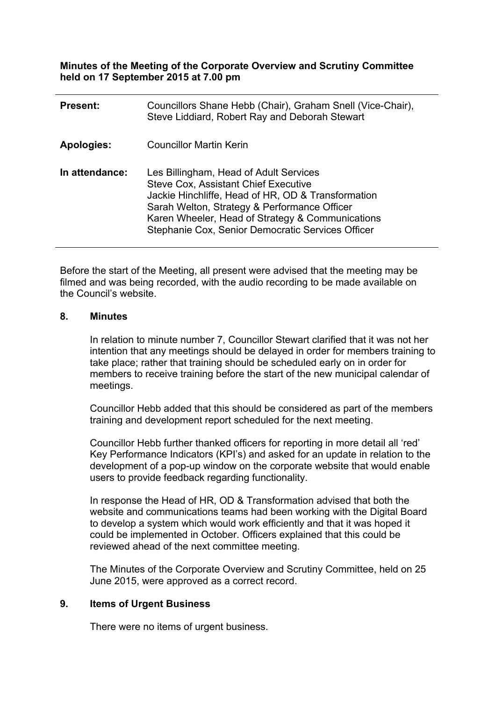**Minutes of the Meeting of the Corporate Overview and Scrutiny Committee held on 17 September 2015 at 7.00 pm**

| <b>Present:</b> | Councillors Shane Hebb (Chair), Graham Snell (Vice-Chair),<br>Steve Liddiard, Robert Ray and Deborah Stewart                                                                                                                                                                                         |
|-----------------|------------------------------------------------------------------------------------------------------------------------------------------------------------------------------------------------------------------------------------------------------------------------------------------------------|
| Apologies:      | <b>Councillor Martin Kerin</b>                                                                                                                                                                                                                                                                       |
| In attendance:  | Les Billingham, Head of Adult Services<br><b>Steve Cox, Assistant Chief Executive</b><br>Jackie Hinchliffe, Head of HR, OD & Transformation<br>Sarah Welton, Strategy & Performance Officer<br>Karen Wheeler, Head of Strategy & Communications<br>Stephanie Cox, Senior Democratic Services Officer |

Before the start of the Meeting, all present were advised that the meeting may be filmed and was being recorded, with the audio recording to be made available on the Council's website.

#### **8. Minutes**

In relation to minute number 7, Councillor Stewart clarified that it was not her intention that any meetings should be delayed in order for members training to take place; rather that training should be scheduled early on in order for members to receive training before the start of the new municipal calendar of meetings.

Councillor Hebb added that this should be considered as part of the members training and development report scheduled for the next meeting.

Councillor Hebb further thanked officers for reporting in more detail all 'red' Key Performance Indicators (KPI's) and asked for an update in relation to the development of a pop-up window on the corporate website that would enable users to provide feedback regarding functionality.

In response the Head of HR, OD & Transformation advised that both the website and communications teams had been working with the Digital Board to develop a system which would work efficiently and that it was hoped it could be implemented in October. Officers explained that this could be reviewed ahead of the next committee meeting.

The Minutes of the Corporate Overview and Scrutiny Committee, held on 25 June 2015, were approved as a correct record.

## **9. Items of Urgent Business**

There were no items of urgent business.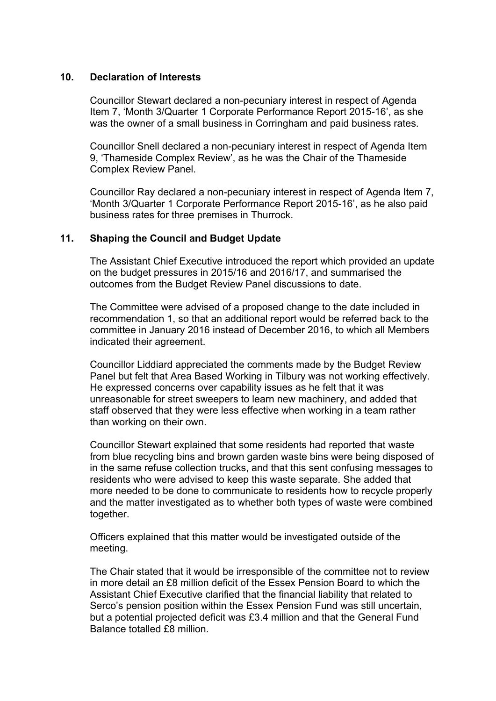## **10. Declaration of Interests**

Councillor Stewart declared a non-pecuniary interest in respect of Agenda Item 7, 'Month 3/Quarter 1 Corporate Performance Report 2015-16', as she was the owner of a small business in Corringham and paid business rates.

Councillor Snell declared a non-pecuniary interest in respect of Agenda Item 9, 'Thameside Complex Review', as he was the Chair of the Thameside Complex Review Panel.

Councillor Ray declared a non-pecuniary interest in respect of Agenda Item 7, 'Month 3/Quarter 1 Corporate Performance Report 2015-16', as he also paid business rates for three premises in Thurrock.

## **11. Shaping the Council and Budget Update**

The Assistant Chief Executive introduced the report which provided an update on the budget pressures in 2015/16 and 2016/17, and summarised the outcomes from the Budget Review Panel discussions to date.

The Committee were advised of a proposed change to the date included in recommendation 1, so that an additional report would be referred back to the committee in January 2016 instead of December 2016, to which all Members indicated their agreement.

Councillor Liddiard appreciated the comments made by the Budget Review Panel but felt that Area Based Working in Tilbury was not working effectively. He expressed concerns over capability issues as he felt that it was unreasonable for street sweepers to learn new machinery, and added that staff observed that they were less effective when working in a team rather than working on their own.

Councillor Stewart explained that some residents had reported that waste from blue recycling bins and brown garden waste bins were being disposed of in the same refuse collection trucks, and that this sent confusing messages to residents who were advised to keep this waste separate. She added that more needed to be done to communicate to residents how to recycle properly and the matter investigated as to whether both types of waste were combined together.

Officers explained that this matter would be investigated outside of the meeting.

The Chair stated that it would be irresponsible of the committee not to review in more detail an £8 million deficit of the Essex Pension Board to which the Assistant Chief Executive clarified that the financial liability that related to Serco's pension position within the Essex Pension Fund was still uncertain, but a potential projected deficit was £3.4 million and that the General Fund Balance totalled £8 million.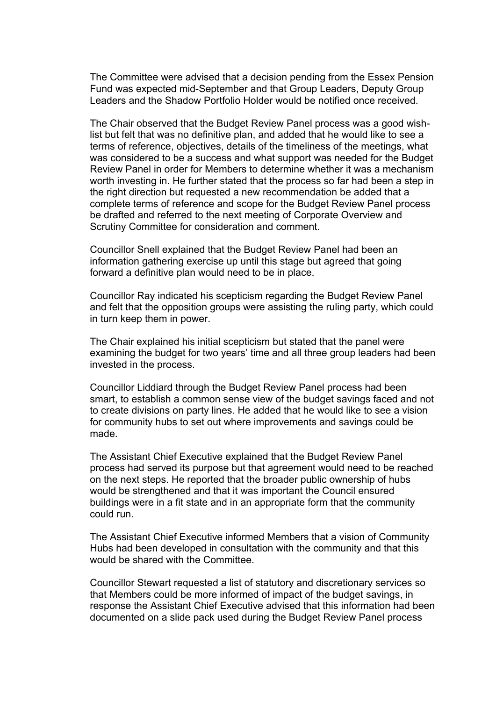The Committee were advised that a decision pending from the Essex Pension Fund was expected mid-September and that Group Leaders, Deputy Group Leaders and the Shadow Portfolio Holder would be notified once received.

The Chair observed that the Budget Review Panel process was a good wishlist but felt that was no definitive plan, and added that he would like to see a terms of reference, objectives, details of the timeliness of the meetings, what was considered to be a success and what support was needed for the Budget Review Panel in order for Members to determine whether it was a mechanism worth investing in. He further stated that the process so far had been a step in the right direction but requested a new recommendation be added that a complete terms of reference and scope for the Budget Review Panel process be drafted and referred to the next meeting of Corporate Overview and Scrutiny Committee for consideration and comment.

Councillor Snell explained that the Budget Review Panel had been an information gathering exercise up until this stage but agreed that going forward a definitive plan would need to be in place.

Councillor Ray indicated his scepticism regarding the Budget Review Panel and felt that the opposition groups were assisting the ruling party, which could in turn keep them in power.

The Chair explained his initial scepticism but stated that the panel were examining the budget for two years' time and all three group leaders had been invested in the process.

Councillor Liddiard through the Budget Review Panel process had been smart, to establish a common sense view of the budget savings faced and not to create divisions on party lines. He added that he would like to see a vision for community hubs to set out where improvements and savings could be made.

The Assistant Chief Executive explained that the Budget Review Panel process had served its purpose but that agreement would need to be reached on the next steps. He reported that the broader public ownership of hubs would be strengthened and that it was important the Council ensured buildings were in a fit state and in an appropriate form that the community could run.

The Assistant Chief Executive informed Members that a vision of Community Hubs had been developed in consultation with the community and that this would be shared with the Committee.

Councillor Stewart requested a list of statutory and discretionary services so that Members could be more informed of impact of the budget savings, in response the Assistant Chief Executive advised that this information had been documented on a slide pack used during the Budget Review Panel process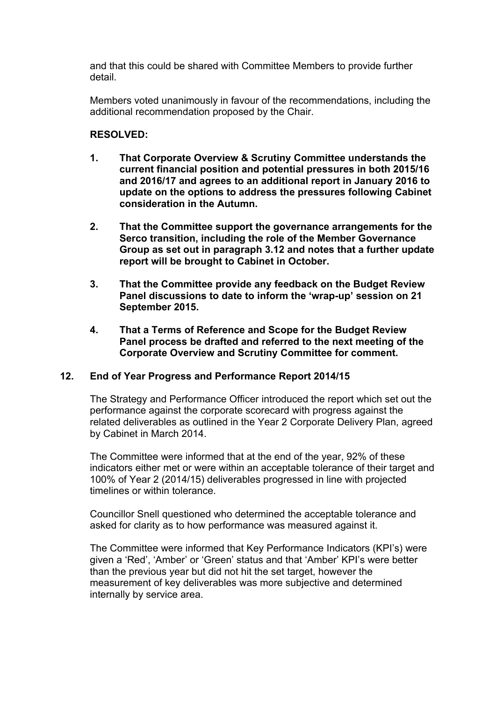and that this could be shared with Committee Members to provide further detail.

Members voted unanimously in favour of the recommendations, including the additional recommendation proposed by the Chair.

# **RESOLVED:**

- **1. That Corporate Overview & Scrutiny Committee understands the current financial position and potential pressures in both 2015/16 and 2016/17 and agrees to an additional report in January 2016 to update on the options to address the pressures following Cabinet consideration in the Autumn.**
- **2. That the Committee support the governance arrangements for the Serco transition, including the role of the Member Governance Group as set out in paragraph 3.12 and notes that a further update report will be brought to Cabinet in October.**
- **3. That the Committee provide any feedback on the Budget Review Panel discussions to date to inform the 'wrap-up' session on 21 September 2015.**
- **4. That a Terms of Reference and Scope for the Budget Review Panel process be drafted and referred to the next meeting of the Corporate Overview and Scrutiny Committee for comment.**

## **12. End of Year Progress and Performance Report 2014/15**

The Strategy and Performance Officer introduced the report which set out the performance against the corporate scorecard with progress against the related deliverables as outlined in the Year 2 Corporate Delivery Plan, agreed by Cabinet in March 2014.

The Committee were informed that at the end of the year, 92% of these indicators either met or were within an acceptable tolerance of their target and 100% of Year 2 (2014/15) deliverables progressed in line with projected timelines or within tolerance.

Councillor Snell questioned who determined the acceptable tolerance and asked for clarity as to how performance was measured against it.

The Committee were informed that Key Performance Indicators (KPI's) were given a 'Red', 'Amber' or 'Green' status and that 'Amber' KPI's were better than the previous year but did not hit the set target, however the measurement of key deliverables was more subjective and determined internally by service area.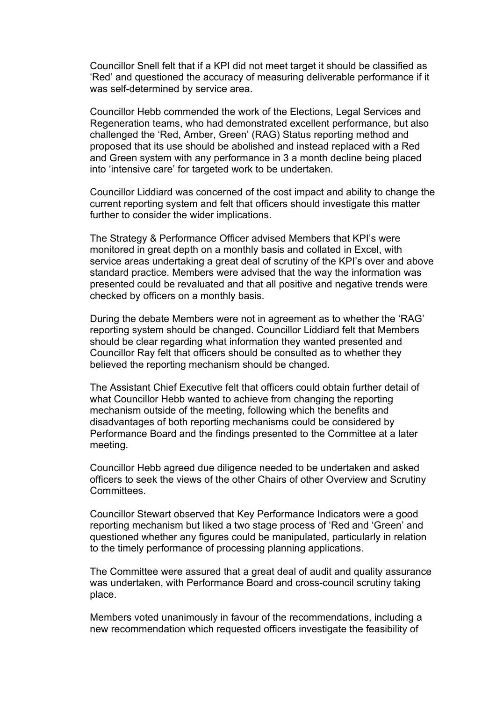Councillor Snell felt that if a KPI did not meet target it should be classified as 'Red' and questioned the accuracy of measuring deliverable performance if it was self-determined by service area.

Councillor Hebb commended the work of the Elections, Legal Services and Regeneration teams, who had demonstrated excellent performance, but also challenged the 'Red, Amber, Green' (RAG) Status reporting method and proposed that its use should be abolished and instead replaced with a Red and Green system with any performance in 3 a month decline being placed into 'intensive care' for targeted work to be undertaken.

Councillor Liddiard was concerned of the cost impact and ability to change the current reporting system and felt that officers should investigate this matter further to consider the wider implications.

The Strategy & Performance Officer advised Members that KPI's were monitored in great depth on a monthly basis and collated in Excel, with service areas undertaking a great deal of scrutiny of the KPI's over and above standard practice. Members were advised that the way the information was presented could be revaluated and that all positive and negative trends were checked by officers on a monthly basis.

During the debate Members were not in agreement as to whether the 'RAG' reporting system should be changed. Councillor Liddiard felt that Members should be clear regarding what information they wanted presented and Councillor Ray felt that officers should be consulted as to whether they believed the reporting mechanism should be changed.

The Assistant Chief Executive felt that officers could obtain further detail of what Councillor Hebb wanted to achieve from changing the reporting mechanism outside of the meeting, following which the benefits and disadvantages of both reporting mechanisms could be considered by Performance Board and the findings presented to the Committee at a later meeting.

Councillor Hebb agreed due diligence needed to be undertaken and asked officers to seek the views of the other Chairs of other Overview and Scrutiny **Committees** 

Councillor Stewart observed that Key Performance Indicators were a good reporting mechanism but liked a two stage process of 'Red and 'Green' and questioned whether any figures could be manipulated, particularly in relation to the timely performance of processing planning applications.

The Committee were assured that a great deal of audit and quality assurance was undertaken, with Performance Board and cross-council scrutiny taking place.

Members voted unanimously in favour of the recommendations, including a new recommendation which requested officers investigate the feasibility of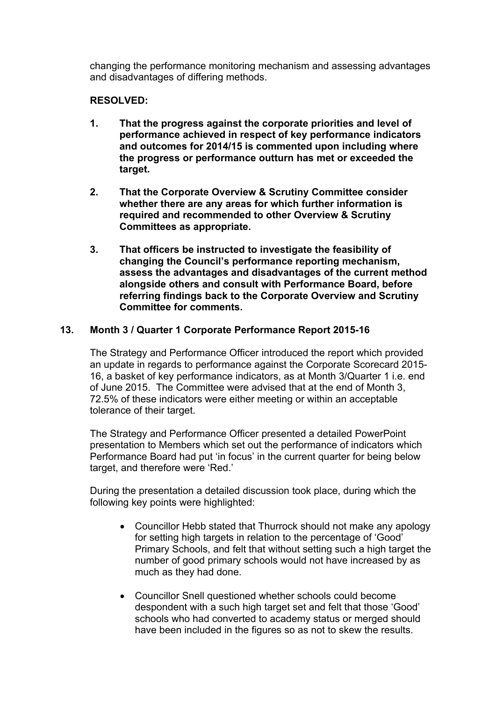changing the performance monitoring mechanism and assessing advantages and disadvantages of differing methods.

# **RESOLVED:**

- **1. That the progress against the corporate priorities and level of performance achieved in respect of key performance indicators and outcomes for 2014/15 is commented upon including where the progress or performance outturn has met or exceeded the target.**
- **2. That the Corporate Overview & Scrutiny Committee consider whether there are any areas for which further information is required and recommended to other Overview & Scrutiny Committees as appropriate.**
- **3. That officers be instructed to investigate the feasibility of changing the Council's performance reporting mechanism, assess the advantages and disadvantages of the current method alongside others and consult with Performance Board, before referring findings back to the Corporate Overview and Scrutiny Committee for comments.**

## **13. Month 3 / Quarter 1 Corporate Performance Report 2015-16**

The Strategy and Performance Officer introduced the report which provided an update in regards to performance against the Corporate Scorecard 2015- 16, a basket of key performance indicators, as at Month 3/Quarter 1 i.e. end of June 2015. The Committee were advised that at the end of Month 3, 72.5% of these indicators were either meeting or within an acceptable tolerance of their target.

The Strategy and Performance Officer presented a detailed PowerPoint presentation to Members which set out the performance of indicators which Performance Board had put 'in focus' in the current quarter for being below target, and therefore were 'Red.'

During the presentation a detailed discussion took place, during which the following key points were highlighted:

- Councillor Hebb stated that Thurrock should not make any apology for setting high targets in relation to the percentage of 'Good' Primary Schools, and felt that without setting such a high target the number of good primary schools would not have increased by as much as they had done.
- Councillor Snell questioned whether schools could become despondent with a such high target set and felt that those 'Good' schools who had converted to academy status or merged should have been included in the figures so as not to skew the results.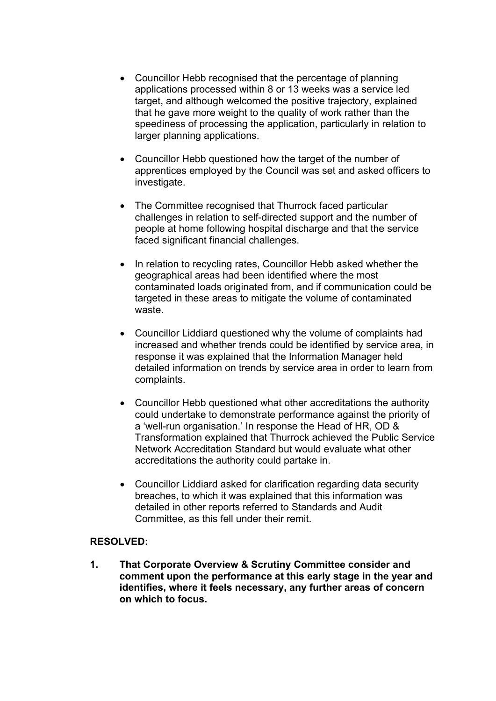- Councillor Hebb recognised that the percentage of planning applications processed within 8 or 13 weeks was a service led target, and although welcomed the positive trajectory, explained that he gave more weight to the quality of work rather than the speediness of processing the application, particularly in relation to larger planning applications.
- Councillor Hebb questioned how the target of the number of apprentices employed by the Council was set and asked officers to investigate.
- The Committee recognised that Thurrock faced particular challenges in relation to self-directed support and the number of people at home following hospital discharge and that the service faced significant financial challenges.
- In relation to recycling rates, Councillor Hebb asked whether the geographical areas had been identified where the most contaminated loads originated from, and if communication could be targeted in these areas to mitigate the volume of contaminated waste.
- Councillor Liddiard questioned why the volume of complaints had increased and whether trends could be identified by service area, in response it was explained that the Information Manager held detailed information on trends by service area in order to learn from complaints.
- Councillor Hebb questioned what other accreditations the authority could undertake to demonstrate performance against the priority of a 'well-run organisation.' In response the Head of HR, OD & Transformation explained that Thurrock achieved the Public Service Network Accreditation Standard but would evaluate what other accreditations the authority could partake in.
- Councillor Liddiard asked for clarification regarding data security breaches, to which it was explained that this information was detailed in other reports referred to Standards and Audit Committee, as this fell under their remit.

## **RESOLVED:**

**1. That Corporate Overview & Scrutiny Committee consider and comment upon the performance at this early stage in the year and identifies, where it feels necessary, any further areas of concern on which to focus.**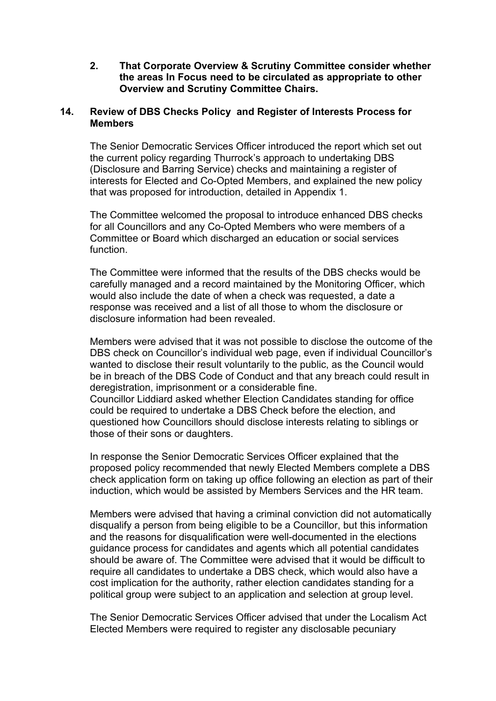**2. That Corporate Overview & Scrutiny Committee consider whether the areas In Focus need to be circulated as appropriate to other Overview and Scrutiny Committee Chairs.**

## **14. Review of DBS Checks Policy and Register of Interests Process for Members**

The Senior Democratic Services Officer introduced the report which set out the current policy regarding Thurrock's approach to undertaking DBS (Disclosure and Barring Service) checks and maintaining a register of interests for Elected and Co-Opted Members, and explained the new policy that was proposed for introduction, detailed in Appendix 1.

The Committee welcomed the proposal to introduce enhanced DBS checks for all Councillors and any Co-Opted Members who were members of a Committee or Board which discharged an education or social services function.

The Committee were informed that the results of the DBS checks would be carefully managed and a record maintained by the Monitoring Officer, which would also include the date of when a check was requested, a date a response was received and a list of all those to whom the disclosure or disclosure information had been revealed.

Members were advised that it was not possible to disclose the outcome of the DBS check on Councillor's individual web page, even if individual Councillor's wanted to disclose their result voluntarily to the public, as the Council would be in breach of the DBS Code of Conduct and that any breach could result in deregistration, imprisonment or a considerable fine. Councillor Liddiard asked whether Election Candidates standing for office could be required to undertake a DBS Check before the election, and questioned how Councillors should disclose interests relating to siblings or those of their sons or daughters.

In response the Senior Democratic Services Officer explained that the proposed policy recommended that newly Elected Members complete a DBS check application form on taking up office following an election as part of their induction, which would be assisted by Members Services and the HR team.

Members were advised that having a criminal conviction did not automatically disqualify a person from being eligible to be a Councillor, but this information and the reasons for disqualification were well-documented in the elections guidance process for candidates and agents which all potential candidates should be aware of. The Committee were advised that it would be difficult to require all candidates to undertake a DBS check, which would also have a cost implication for the authority, rather election candidates standing for a political group were subject to an application and selection at group level.

The Senior Democratic Services Officer advised that under the Localism Act Elected Members were required to register any disclosable pecuniary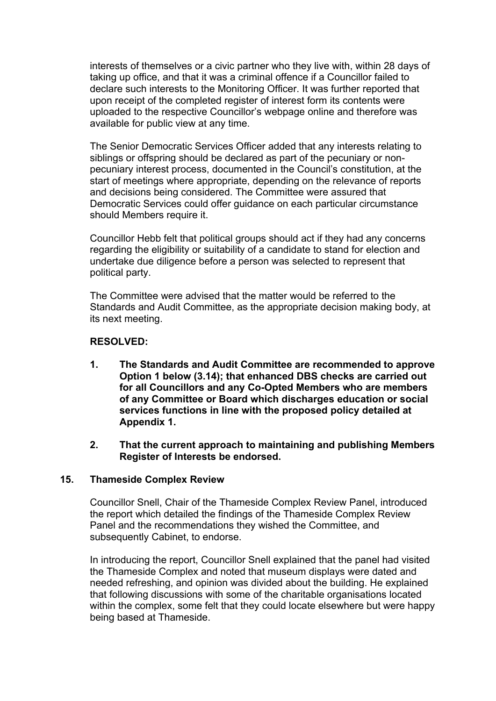interests of themselves or a civic partner who they live with, within 28 days of taking up office, and that it was a criminal offence if a Councillor failed to declare such interests to the Monitoring Officer. It was further reported that upon receipt of the completed register of interest form its contents were uploaded to the respective Councillor's webpage online and therefore was available for public view at any time.

The Senior Democratic Services Officer added that any interests relating to siblings or offspring should be declared as part of the pecuniary or nonpecuniary interest process, documented in the Council's constitution, at the start of meetings where appropriate, depending on the relevance of reports and decisions being considered. The Committee were assured that Democratic Services could offer guidance on each particular circumstance should Members require it.

Councillor Hebb felt that political groups should act if they had any concerns regarding the eligibility or suitability of a candidate to stand for election and undertake due diligence before a person was selected to represent that political party.

The Committee were advised that the matter would be referred to the Standards and Audit Committee, as the appropriate decision making body, at its next meeting.

## **RESOLVED:**

- **1. The Standards and Audit Committee are recommended to approve Option 1 below (3.14); that enhanced DBS checks are carried out for all Councillors and any Co-Opted Members who are members of any Committee or Board which discharges education or social services functions in line with the proposed policy detailed at Appendix 1.**
- **2. That the current approach to maintaining and publishing Members Register of Interests be endorsed.**

#### **15. Thameside Complex Review**

Councillor Snell, Chair of the Thameside Complex Review Panel, introduced the report which detailed the findings of the Thameside Complex Review Panel and the recommendations they wished the Committee, and subsequently Cabinet, to endorse.

In introducing the report, Councillor Snell explained that the panel had visited the Thameside Complex and noted that museum displays were dated and needed refreshing, and opinion was divided about the building. He explained that following discussions with some of the charitable organisations located within the complex, some felt that they could locate elsewhere but were happy being based at Thameside.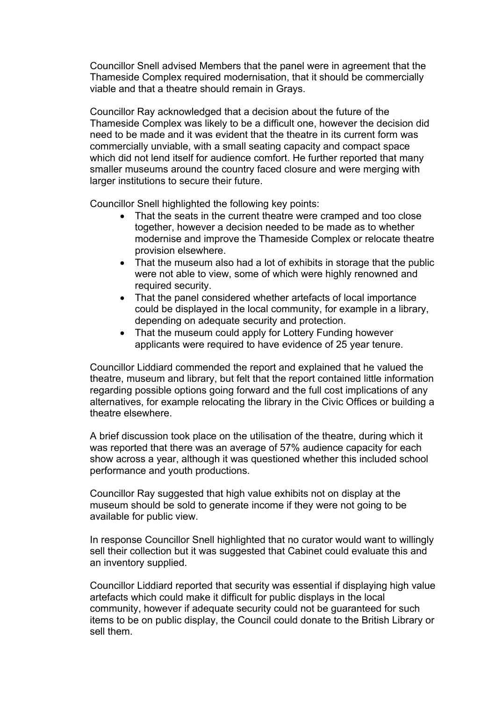Councillor Snell advised Members that the panel were in agreement that the Thameside Complex required modernisation, that it should be commercially viable and that a theatre should remain in Grays.

Councillor Ray acknowledged that a decision about the future of the Thameside Complex was likely to be a difficult one, however the decision did need to be made and it was evident that the theatre in its current form was commercially unviable, with a small seating capacity and compact space which did not lend itself for audience comfort. He further reported that many smaller museums around the country faced closure and were merging with larger institutions to secure their future.

Councillor Snell highlighted the following key points:

- That the seats in the current theatre were cramped and too close together, however a decision needed to be made as to whether modernise and improve the Thameside Complex or relocate theatre provision elsewhere.
- That the museum also had a lot of exhibits in storage that the public were not able to view, some of which were highly renowned and required security.
- That the panel considered whether artefacts of local importance could be displayed in the local community, for example in a library, depending on adequate security and protection.
- That the museum could apply for Lottery Funding however applicants were required to have evidence of 25 year tenure.

Councillor Liddiard commended the report and explained that he valued the theatre, museum and library, but felt that the report contained little information regarding possible options going forward and the full cost implications of any alternatives, for example relocating the library in the Civic Offices or building a theatre elsewhere.

A brief discussion took place on the utilisation of the theatre, during which it was reported that there was an average of 57% audience capacity for each show across a year, although it was questioned whether this included school performance and youth productions.

Councillor Ray suggested that high value exhibits not on display at the museum should be sold to generate income if they were not going to be available for public view.

In response Councillor Snell highlighted that no curator would want to willingly sell their collection but it was suggested that Cabinet could evaluate this and an inventory supplied.

Councillor Liddiard reported that security was essential if displaying high value artefacts which could make it difficult for public displays in the local community, however if adequate security could not be guaranteed for such items to be on public display, the Council could donate to the British Library or sell them.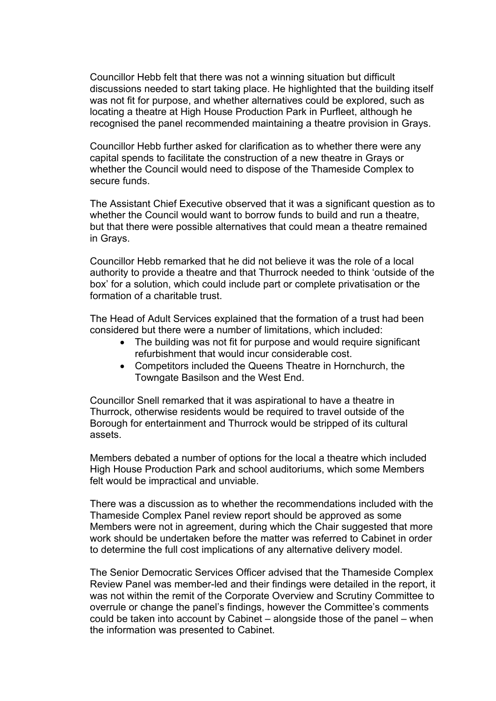Councillor Hebb felt that there was not a winning situation but difficult discussions needed to start taking place. He highlighted that the building itself was not fit for purpose, and whether alternatives could be explored, such as locating a theatre at High House Production Park in Purfleet, although he recognised the panel recommended maintaining a theatre provision in Grays.

Councillor Hebb further asked for clarification as to whether there were any capital spends to facilitate the construction of a new theatre in Grays or whether the Council would need to dispose of the Thameside Complex to secure funds.

The Assistant Chief Executive observed that it was a significant question as to whether the Council would want to borrow funds to build and run a theatre, but that there were possible alternatives that could mean a theatre remained in Grays.

Councillor Hebb remarked that he did not believe it was the role of a local authority to provide a theatre and that Thurrock needed to think 'outside of the box' for a solution, which could include part or complete privatisation or the formation of a charitable trust.

The Head of Adult Services explained that the formation of a trust had been considered but there were a number of limitations, which included:

- The building was not fit for purpose and would require significant refurbishment that would incur considerable cost.
- Competitors included the Queens Theatre in Hornchurch, the Towngate Basilson and the West End.

Councillor Snell remarked that it was aspirational to have a theatre in Thurrock, otherwise residents would be required to travel outside of the Borough for entertainment and Thurrock would be stripped of its cultural assets.

Members debated a number of options for the local a theatre which included High House Production Park and school auditoriums, which some Members felt would be impractical and unviable.

There was a discussion as to whether the recommendations included with the Thameside Complex Panel review report should be approved as some Members were not in agreement, during which the Chair suggested that more work should be undertaken before the matter was referred to Cabinet in order to determine the full cost implications of any alternative delivery model.

The Senior Democratic Services Officer advised that the Thameside Complex Review Panel was member-led and their findings were detailed in the report, it was not within the remit of the Corporate Overview and Scrutiny Committee to overrule or change the panel's findings, however the Committee's comments could be taken into account by Cabinet – alongside those of the panel – when the information was presented to Cabinet.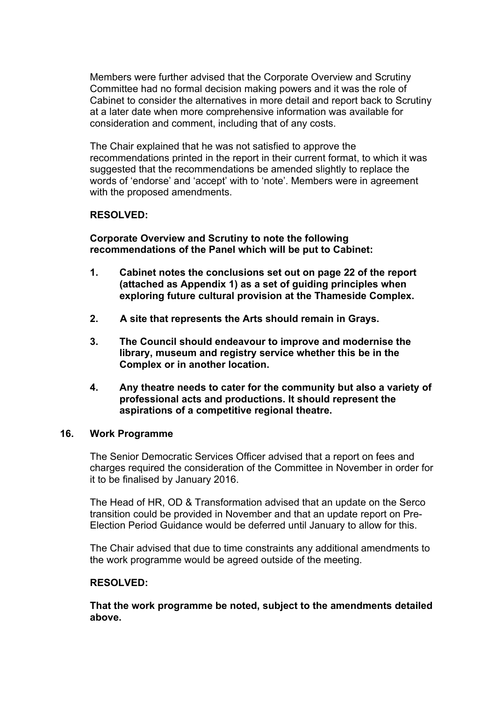Members were further advised that the Corporate Overview and Scrutiny Committee had no formal decision making powers and it was the role of Cabinet to consider the alternatives in more detail and report back to Scrutiny at a later date when more comprehensive information was available for consideration and comment, including that of any costs.

The Chair explained that he was not satisfied to approve the recommendations printed in the report in their current format, to which it was suggested that the recommendations be amended slightly to replace the words of 'endorse' and 'accept' with to 'note'. Members were in agreement with the proposed amendments.

## **RESOLVED:**

**Corporate Overview and Scrutiny to note the following recommendations of the Panel which will be put to Cabinet:**

- **1. Cabinet notes the conclusions set out on page 22 of the report (attached as Appendix 1) as a set of guiding principles when exploring future cultural provision at the Thameside Complex.**
- **2. A site that represents the Arts should remain in Grays.**
- **3. The Council should endeavour to improve and modernise the library, museum and registry service whether this be in the Complex or in another location.**
- **4. Any theatre needs to cater for the community but also a variety of professional acts and productions. It should represent the aspirations of a competitive regional theatre.**

#### **16. Work Programme**

The Senior Democratic Services Officer advised that a report on fees and charges required the consideration of the Committee in November in order for it to be finalised by January 2016.

The Head of HR, OD & Transformation advised that an update on the Serco transition could be provided in November and that an update report on Pre-Election Period Guidance would be deferred until January to allow for this.

The Chair advised that due to time constraints any additional amendments to the work programme would be agreed outside of the meeting.

#### **RESOLVED:**

**That the work programme be noted, subject to the amendments detailed above.**